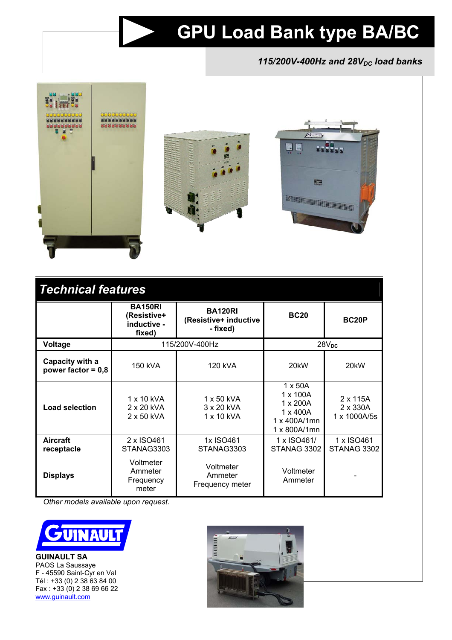# **GPU Load Bank type BA/BC**

## 115/200V-400Hz and 28V<sub>DC</sub> load banks



| <b>Technical features</b>               |                                                        |                                                     |                                                                                           |                                             |
|-----------------------------------------|--------------------------------------------------------|-----------------------------------------------------|-------------------------------------------------------------------------------------------|---------------------------------------------|
|                                         | <b>BA150RI</b><br>(Resistive+<br>inductive -<br>fixed) | <b>BA120RI</b><br>(Resistive+ inductive<br>- fixed) | <b>BC20</b>                                                                               | BC <sub>20</sub> P                          |
| Voltage                                 | 115/200V-400Hz                                         |                                                     | 28V <sub>DC</sub>                                                                         |                                             |
| Capacity with a<br>power factor = $0,8$ | 150 kVA                                                | 120 kVA                                             | 20 <sub>k</sub> W                                                                         | 20 <sub>k</sub> W                           |
| <b>Load selection</b>                   | 1 x 10 kVA<br>2 x 20 kVA<br>2 x 50 kVA                 | $1 \times 50$ kVA<br>3 x 20 kVA<br>1 x 10 kVA       | $1 \times 50A$<br>1 x 100A<br>1 x 200A<br>$1 \times 400A$<br>1 x 400A/1mn<br>1 x 800A/1mn | $2 \times 115A$<br>2 x 330A<br>1 x 1000A/5s |
| Aircraft<br>receptacle                  | 2 x ISO461<br>STANAG3303                               | 1x ISO461<br>STANAG3303                             | 1 x ISO461/<br>STANAG 3302                                                                | 1 x ISO461<br>STANAG 3302                   |
| <b>Displays</b>                         | Voltmeter<br>Ammeter<br>Frequency<br>meter             | Voltmeter<br>Ammeter<br>Frequency meter             | Voltmeter<br>Ammeter                                                                      |                                             |

*Other models available upon request.* 



**GUINAULT SA**  PAOS La Saussaye F - 45590 Saint-Cyr en Val Tél : +33 (0) 2 38 63 84 00 Fax : +33 (0) 2 38 69 66 22 www.guinault.com